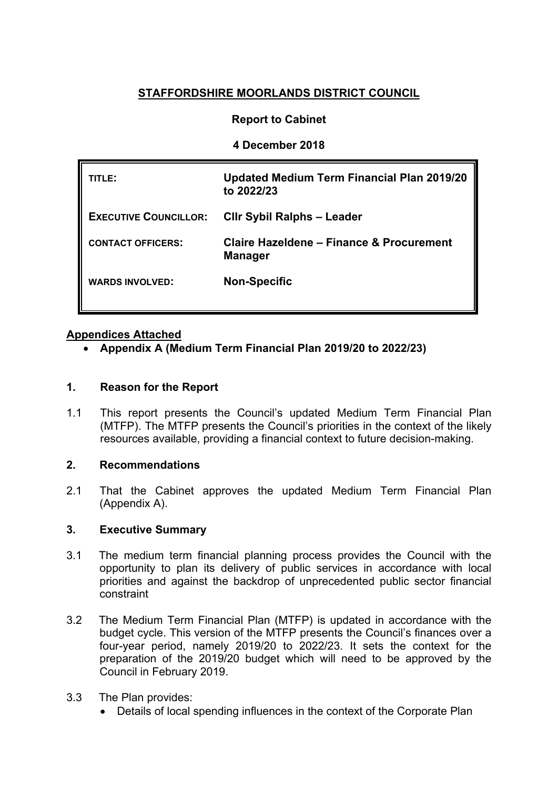# **STAFFORDSHIRE MOORLANDS DISTRICT COUNCIL**

# **Report to Cabinet**

## **4 December 2018**

| TITLE:                       | <b>Updated Medium Term Financial Plan 2019/20</b><br>to 2022/23 |
|------------------------------|-----------------------------------------------------------------|
| <b>EXECUTIVE COUNCILLOR:</b> | <b>CIIr Sybil Ralphs - Leader</b>                               |
| <b>CONTACT OFFICERS:</b>     | Claire Hazeldene - Finance & Procurement<br><b>Manager</b>      |
| <b>WARDS INVOLVED:</b>       | <b>Non-Specific</b>                                             |

## **Appendices Attached**

**[Appendix](http://smdcintranet/committeeagendas/2012-13/Overview%20&%20Scrutiny/Resources/10Oct12/SMDC%20-%20MTFP%20Oct%202012%20(2)Agenda%20Item%207.doc) A (Medium Term Financial Plan 2019/20 to 2022/23)**

## **1. Reason for the Report**

1.1 This report presents the Council's updated Medium Term Financial Plan (MTFP). The MTFP presents the Council's priorities in the context of the likely resources available, providing a financial context to future decision-making.

#### **2. Recommendations**

2.1 That the Cabinet approves the updated Medium Term Financial Plan (Appendix A).

#### **3. Executive Summary**

- 3.1 The medium term financial planning process provides the Council with the opportunity to plan its delivery of public services in accordance with local priorities and against the backdrop of unprecedented public sector financial constraint
- 3.2 The Medium Term Financial Plan (MTFP) is updated in accordance with the budget cycle. This version of the MTFP presents the Council's finances over a four-year period, namely 2019/20 to 2022/23. It sets the context for the preparation of the 2019/20 budget which will need to be approved by the Council in February 2019.
- 3.3 The Plan provides:
	- Details of local spending influences in the context of the Corporate Plan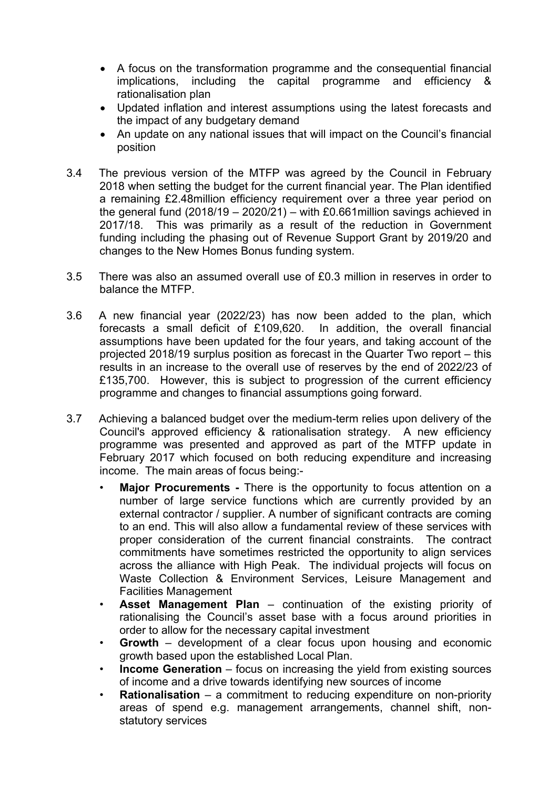- A focus on the transformation programme and the consequential financial implications, including the capital programme and efficiency & rationalisation plan
- Updated inflation and interest assumptions using the latest forecasts and the impact of any budgetary demand
- An update on any national issues that will impact on the Council's financial position
- 3.4 The previous version of the MTFP was agreed by the Council in February 2018 when setting the budget for the current financial year. The Plan identified a remaining £2.48million efficiency requirement over a three year period on the general fund (2018/19 – 2020/21) – with £0.661 million savings achieved in 2017/18. This was primarily as a result of the reduction in Government funding including the phasing out of Revenue Support Grant by 2019/20 and changes to the New Homes Bonus funding system.
- 3.5 There was also an assumed overall use of £0.3 million in reserves in order to balance the MTFP.
- 3.6 A new financial year (2022/23) has now been added to the plan, which forecasts a small deficit of £109,620. In addition, the overall financial assumptions have been updated for the four years, and taking account of the projected 2018/19 surplus position as forecast in the Quarter Two report – this results in an increase to the overall use of reserves by the end of 2022/23 of £135,700. However, this is subject to progression of the current efficiency programme and changes to financial assumptions going forward.
- 3.7 Achieving a balanced budget over the medium-term relies upon delivery of the Council's approved efficiency & rationalisation strategy. A new efficiency programme was presented and approved as part of the MTFP update in February 2017 which focused on both reducing expenditure and increasing income. The main areas of focus being:-
	- **Major Procurements -** There is the opportunity to focus attention on a number of large service functions which are currently provided by an external contractor / supplier. A number of significant contracts are coming to an end. This will also allow a fundamental review of these services with proper consideration of the current financial constraints. The contract commitments have sometimes restricted the opportunity to align services across the alliance with High Peak. The individual projects will focus on Waste Collection & Environment Services, Leisure Management and Facilities Management
	- **Asset Management Plan** continuation of the existing priority of rationalising the Council's asset base with a focus around priorities in order to allow for the necessary capital investment
	- **Growth** development of a clear focus upon housing and economic growth based upon the established Local Plan.
	- **Income Generation** focus on increasing the yield from existing sources of income and a drive towards identifying new sources of income
	- **Rationalisation** a commitment to reducing expenditure on non-priority areas of spend e.g. management arrangements, channel shift, nonstatutory services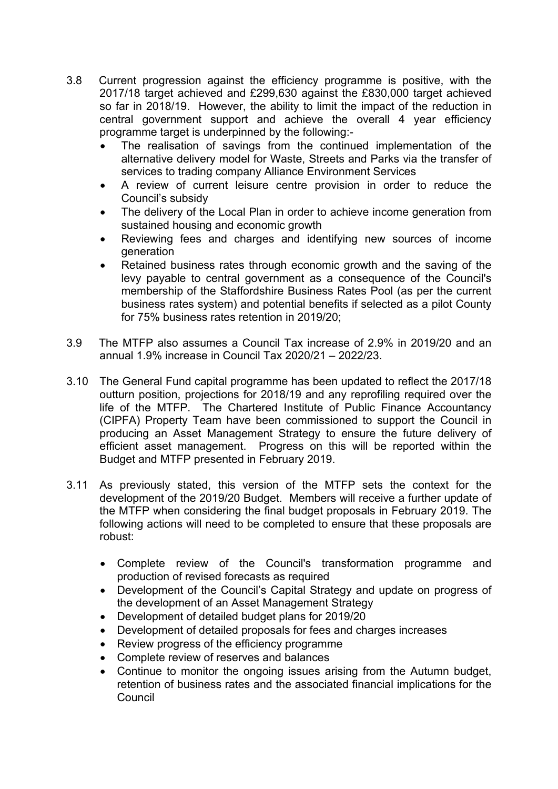- 3.8 Current progression against the efficiency programme is positive, with the 2017/18 target achieved and £299,630 against the £830,000 target achieved so far in 2018/19. However, the ability to limit the impact of the reduction in central government support and achieve the overall 4 year efficiency programme target is underpinned by the following:-
	- The realisation of savings from the continued implementation of the alternative delivery model for Waste, Streets and Parks via the transfer of services to trading company Alliance Environment Services
	- A review of current leisure centre provision in order to reduce the Council's subsidy
	- The delivery of the Local Plan in order to achieve income generation from sustained housing and economic growth
	- Reviewing fees and charges and identifying new sources of income generation
	- Retained business rates through economic growth and the saving of the levy payable to central government as a consequence of the Council's membership of the Staffordshire Business Rates Pool (as per the current business rates system) and potential benefits if selected as a pilot County for 75% business rates retention in 2019/20;
- 3.9 The MTFP also assumes a Council Tax increase of 2.9% in 2019/20 and an annual 1.9% increase in Council Tax 2020/21 – 2022/23.
- 3.10 The General Fund capital programme has been updated to reflect the 2017/18 outturn position, projections for 2018/19 and any reprofiling required over the life of the MTFP. The Chartered Institute of Public Finance Accountancy (CIPFA) Property Team have been commissioned to support the Council in producing an Asset Management Strategy to ensure the future delivery of efficient asset management. Progress on this will be reported within the Budget and MTFP presented in February 2019.
- 3.11 As previously stated, this version of the MTFP sets the context for the development of the 2019/20 Budget. Members will receive a further update of the MTFP when considering the final budget proposals in February 2019. The following actions will need to be completed to ensure that these proposals are robust:
	- Complete review of the Council's transformation programme and production of revised forecasts as required
	- Development of the Council's Capital Strategy and update on progress of the development of an Asset Management Strategy
	- Development of detailed budget plans for 2019/20
	- Development of detailed proposals for fees and charges increases
	- Review progress of the efficiency programme
	- Complete review of reserves and balances
	- Continue to monitor the ongoing issues arising from the Autumn budget, retention of business rates and the associated financial implications for the Council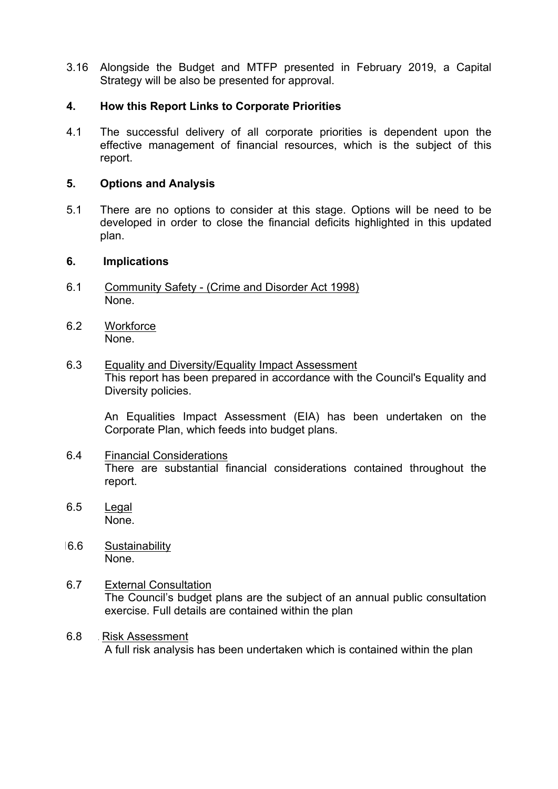3.16 Alongside the Budget and MTFP presented in February 2019, a Capital Strategy will be also be presented for approval.

#### **4. How this Report Links to Corporate Priorities**

4.1 The successful delivery of all corporate priorities is dependent upon the effective management of financial resources, which is the subject of this report.

#### **5. Options and Analysis**

5.1 There are no options to consider at this stage. Options will be need to be developed in order to close the financial deficits highlighted in this updated plan.

#### **6. Implications**

- 6.1 Community Safety (Crime and Disorder Act 1998) None.
- 6.2 Workforce None.
- 6.3 Equality and Diversity/Equality Impact Assessment This report has been prepared in accordance with the Council's Equality and Diversity policies.

An Equalities Impact Assessment (EIA) has been undertaken on the Corporate Plan, which feeds into budget plans.

- 6.4 Financial Considerations There are substantial financial considerations contained throughout the report.
- 6.5 Legal None.
- 16.6 Sustainability None.
- 6.7 External Consultation The Council's budget plans are the subject of an annual public consultation exercise. Full details are contained within the plan
- 6.8 Risk Assessment A full risk analysis has been undertaken which is contained within the plan